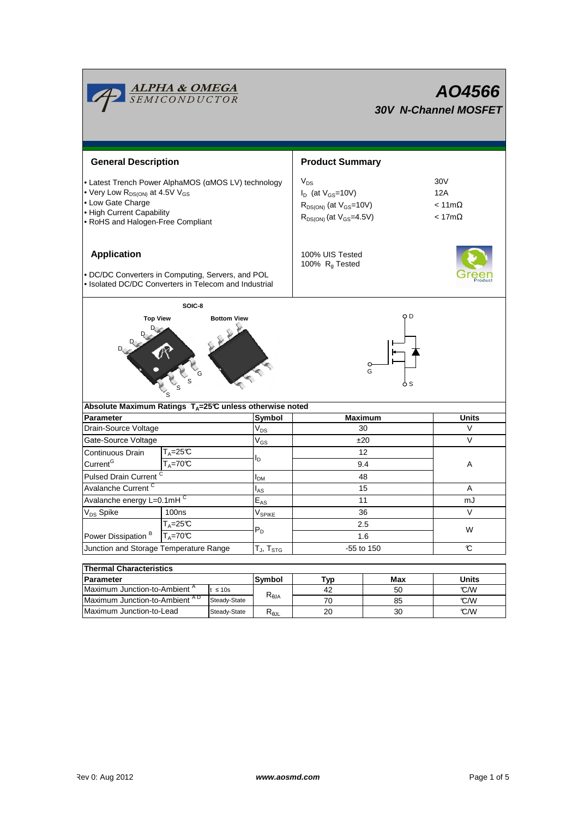| <b>ALPHA &amp; OMEGA</b><br>SEMICONDUCTOR                                                                                                                                                            |                    |                    | AO4566<br><b>30V N-Channel MOSFET</b>      |                                                                                                               |                                                      |              |  |  |
|------------------------------------------------------------------------------------------------------------------------------------------------------------------------------------------------------|--------------------|--------------------|--------------------------------------------|---------------------------------------------------------------------------------------------------------------|------------------------------------------------------|--------------|--|--|
| <b>General Description</b>                                                                                                                                                                           |                    |                    |                                            | <b>Product Summary</b>                                                                                        |                                                      |              |  |  |
| • Latest Trench Power AlphaMOS (aMOS LV) technology<br>• Very Low R <sub>DS(ON)</sub> at 4.5V V <sub>GS</sub><br>• Low Gate Charge<br>• High Current Capability<br>• RoHS and Halogen-Free Compliant |                    |                    |                                            | $V_{DS}$<br>$I_D$ (at $V_{GS}$ =10V)<br>$R_{DS(ON)}$ (at $V_{GS}$ =10V)<br>$R_{DS(ON)}$ (at $V_{GS} = 4.5V$ ) | 30V<br>12A<br>$< 11 \text{m}\Omega$<br>$< 17m\Omega$ |              |  |  |
| <b>Application</b><br>• DC/DC Converters in Computing, Servers, and POL<br>• Isolated DC/DC Converters in Telecom and Industrial                                                                     |                    |                    |                                            | 100% UIS Tested<br>100% $R_g$ Tested                                                                          |                                                      |              |  |  |
| <b>Top View</b><br>Absolute Maximum Ratings $T_A=25^\circ \text{C}$ unless otherwise noted                                                                                                           |                    | <b>Bottom View</b> |                                            | O D<br>$\circ$<br>G<br>o s                                                                                    |                                                      |              |  |  |
| <b>Parameter</b>                                                                                                                                                                                     |                    |                    | Symbol                                     | <b>Maximum</b>                                                                                                |                                                      | Units        |  |  |
| Drain-Source Voltage                                                                                                                                                                                 |                    |                    | $\rm V_{DS}$                               | 30                                                                                                            |                                                      | V            |  |  |
| Gate-Source Voltage                                                                                                                                                                                  |                    |                    | $\mathsf{V}_{\mathsf{GS}}$                 | ±20                                                                                                           |                                                      | V            |  |  |
| $T_A = 25C$<br>Continuous Drain                                                                                                                                                                      |                    |                    |                                            | 12                                                                                                            |                                                      |              |  |  |
| Current <sup>G</sup>                                                                                                                                                                                 | $T_A = 70^\circ C$ |                    | l <sub>D</sub>                             | 9.4                                                                                                           |                                                      | Α            |  |  |
| Pulsed Drain Current <sup>C</sup>                                                                                                                                                                    |                    |                    | I <sub>DМ</sub>                            | 48                                                                                                            |                                                      |              |  |  |
| Avalanche Current <sup>C</sup>                                                                                                                                                                       |                    |                    | l <sub>AS</sub>                            | 15                                                                                                            |                                                      | A            |  |  |
| Avalanche energy L=0.1mHC                                                                                                                                                                            |                    |                    | $E_{AS}$                                   | 11                                                                                                            |                                                      | mJ           |  |  |
| V <sub>DS</sub> Spike                                                                                                                                                                                | 100ns              |                    |                                            | 36                                                                                                            |                                                      | V            |  |  |
|                                                                                                                                                                                                      | $T_A = 25C$        |                    | V <sub>SPIKE</sub><br>$P_D$                | 2.5                                                                                                           |                                                      | W            |  |  |
| Power Dissipation <sup>B</sup>                                                                                                                                                                       | $T_A = 70^\circ C$ |                    |                                            | 1.6                                                                                                           |                                                      |              |  |  |
| Junction and Storage Temperature Range                                                                                                                                                               |                    |                    | $T_J$ , $T_{STG}$                          | -55 to 150                                                                                                    | C                                                    |              |  |  |
|                                                                                                                                                                                                      |                    |                    |                                            |                                                                                                               |                                                      |              |  |  |
| <b>Thermal Characteristics</b><br><b>Parameter</b>                                                                                                                                                   |                    |                    |                                            |                                                                                                               |                                                      | <b>Units</b> |  |  |
| Maximum Junction-to-Ambient <sup>A</sup><br>$\leq 10s$                                                                                                                                               |                    |                    | Symbol<br>$\mathsf{R}_{\theta\mathsf{JA}}$ | Typ<br>42                                                                                                     | Max<br>50                                            | C/W          |  |  |
| Maximum Junction-to-Ambient AD<br>Steady-State                                                                                                                                                       |                    | 70                 |                                            | 85                                                                                                            | C/W                                                  |              |  |  |
| Maximum Junction-to-Lead<br>Steady-State                                                                                                                                                             |                    | $R_{\theta$ JL     | 20                                         | 30                                                                                                            | C/W                                                  |              |  |  |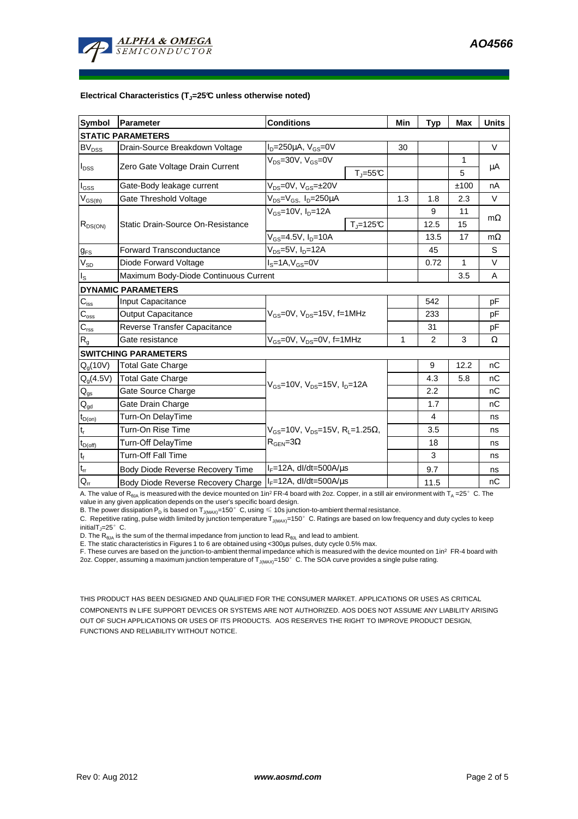

## **Electrical Characteristics (TJ=25°C unless otherwise noted)**

| <b>Symbol</b>               | Parameter                             | <b>Conditions</b>                                                                                |                          | Min | <b>Typ</b>     | Max    | <b>Units</b> |  |  |  |  |
|-----------------------------|---------------------------------------|--------------------------------------------------------------------------------------------------|--------------------------|-----|----------------|--------|--------------|--|--|--|--|
| <b>STATIC PARAMETERS</b>    |                                       |                                                                                                  |                          |     |                |        |              |  |  |  |  |
| $BV_{DSS}$                  | Drain-Source Breakdown Voltage        | $I_D = 250 \mu A$ , $V_{GS} = 0V$                                                                |                          | 30  |                |        | $\vee$       |  |  |  |  |
| $I_{DSS}$                   | Zero Gate Voltage Drain Current       | $V_{DS}$ =30V, $V_{GS}$ =0V<br>$T_{\text{J}} = 55^{\circ}C$                                      |                          |     |                | 1<br>5 | μA           |  |  |  |  |
| $I_{GSS}$                   | Gate-Body leakage current             | $V_{DS} = 0V$ , $V_{GS} = \pm 20V$                                                               |                          |     |                | ±100   | nA           |  |  |  |  |
| $V_{GS(th)}$                | Gate Threshold Voltage                | $V_{DS} = V_{GS}$ , $I_D = 250 \mu A$                                                            |                          | 1.3 | 1.8            | 2.3    | V            |  |  |  |  |
| $R_{DS(ON)}$                |                                       | $V_{GS}$ =10V, $I_{D}$ =12A                                                                      |                          |     | 9              | 11     |              |  |  |  |  |
|                             | Static Drain-Source On-Resistance     |                                                                                                  | $T_{\parallel} = 125$ °C |     | 12.5           | 15     | $m\Omega$    |  |  |  |  |
|                             |                                       | $V_{GS}$ =4.5V, $I_{D}$ =10A                                                                     |                          |     | 13.5           | 17     | $m\Omega$    |  |  |  |  |
| $g_{FS}$                    | <b>Forward Transconductance</b>       | $V_{DS}=5V$ , $I_D=12A$                                                                          |                          |     |                |        | S            |  |  |  |  |
| $V_{SD}$                    | Diode Forward Voltage                 | $IS=1A, VGS=0V$                                                                                  |                          |     | 0.72           | 1      | $\vee$       |  |  |  |  |
| I <sub>S</sub>              | Maximum Body-Diode Continuous Current |                                                                                                  |                          | 3.5 | A              |        |              |  |  |  |  |
|                             | <b>DYNAMIC PARAMETERS</b>             |                                                                                                  |                          |     |                |        |              |  |  |  |  |
| $C_{\text{iss}}$            | Input Capacitance                     |                                                                                                  |                          |     | 542            |        | pF           |  |  |  |  |
| $C_{\rm oss}$               | <b>Output Capacitance</b>             | $V_{GS}$ =0V, $V_{DS}$ =15V, f=1MHz                                                              |                          |     | 233            |        | pF           |  |  |  |  |
| $C_{\text{rss}}$            | Reverse Transfer Capacitance          |                                                                                                  |                          |     | 31             |        | pF           |  |  |  |  |
| $R_g$                       | Gate resistance                       | $V_{GS}$ =0V, $V_{DS}$ =0V, f=1MHz                                                               |                          | 1   | 2              | 3      | Ω            |  |  |  |  |
|                             | <b>SWITCHING PARAMETERS</b>           |                                                                                                  |                          |     |                |        |              |  |  |  |  |
| $Q_q(10V)$                  | <b>Total Gate Charge</b>              | $V_{GS}$ =10V, $V_{DS}$ =15V, $I_{D}$ =12A                                                       |                          |     | 9              | 12.2   | nC           |  |  |  |  |
| $Q_g(4.5V)$                 | <b>Total Gate Charge</b>              |                                                                                                  |                          |     | 4.3            | 5.8    | nC           |  |  |  |  |
| $Q_{gs}$                    | Gate Source Charge                    |                                                                                                  |                          |     | 2.2            |        | nC           |  |  |  |  |
| $\mathsf{Q}_{\mathsf{gd}}$  | Gate Drain Charge                     |                                                                                                  |                          |     | 1.7            |        | nC           |  |  |  |  |
| $t_{D(on)}$                 | Turn-On DelayTime                     | $V_{\text{GS}}$ =10V, $V_{\text{DS}}$ =15V, R <sub>i</sub> =1.25Ω,<br>$R_{\text{GEN}} = 3\Omega$ |                          |     | $\overline{4}$ |        | ns           |  |  |  |  |
| t,                          | Turn-On Rise Time                     |                                                                                                  |                          |     | 3.5            |        | ns           |  |  |  |  |
| $t_{D(off)}$                | Turn-Off DelayTime                    |                                                                                                  |                          |     | 18             |        | ns           |  |  |  |  |
| $\mathfrak{t}_{\mathsf{f}}$ | <b>Turn-Off Fall Time</b>             |                                                                                                  |                          |     | 3              |        | ns           |  |  |  |  |
| $t_{rr}$                    | Body Diode Reverse Recovery Time      | $I_F = 12A$ , dl/dt=500A/ $\mu$ s                                                                |                          |     | 9.7            |        | ns           |  |  |  |  |
| $Q_{rr}$                    | Body Diode Reverse Recovery Charge    | $I_F$ =12A, dl/dt=500A/us                                                                        |                          |     | 11.5           |        | nC           |  |  |  |  |

A. The value of R<sub>BJA</sub> is measured with the device mounted on 1in<sup>2</sup> FR-4 board with 2oz. Copper, in a still air environment with T<sub>A</sub> =25°C. The value in any given application depends on the user's specific board design.

B. The power dissipation P<sub>D</sub> is based on T<sub>J(MAX)</sub>=150°C, using  $\leq 10$ s junction-to-ambient thermal resistance.

C. Repetitive rating, pulse width limited by junction temperature  $T_{J(MAX)}$ =150°C. Ratings are based on low frequency and duty cycles to keep initialT $_{\parallel}$ =25°C.

D. The R<sub>6JA</sub> is the sum of the thermal impedance from junction to lead R<sub>θJL</sub> and lead to ambient.<br>E. The static characteristics in Figures 1 to 6 are obtained using <300μs pulses, duty cycle 0.5% max.<br>F. These curves ar 2oz. Copper, assuming a maximum junction temperature of T<sub>J(MAX)</sub>=150°C. The SOA curve provides a single pulse rating.

THIS PRODUCT HAS BEEN DESIGNED AND QUALIFIED FOR THE CONSUMER MARKET. APPLICATIONS OR USES AS CRITICAL COMPONENTS IN LIFE SUPPORT DEVICES OR SYSTEMS ARE NOT AUTHORIZED. AOS DOES NOT ASSUME ANY LIABILITY ARISING OUT OF SUCH APPLICATIONS OR USES OF ITS PRODUCTS. AOS RESERVES THE RIGHT TO IMPROVE PRODUCT DESIGN, FUNCTIONS AND RELIABILITY WITHOUT NOTICE.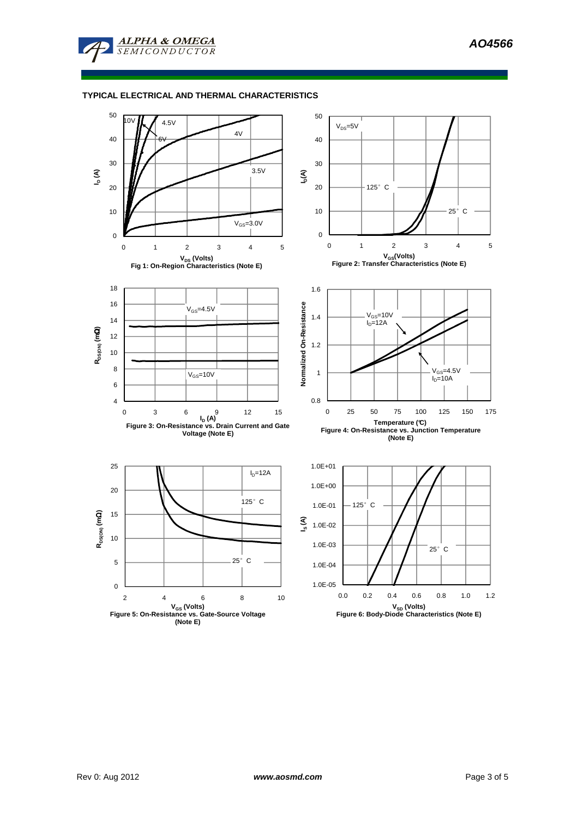

## **TYPICAL ELECTRICAL AND THERMAL CHARACTERISTICS**

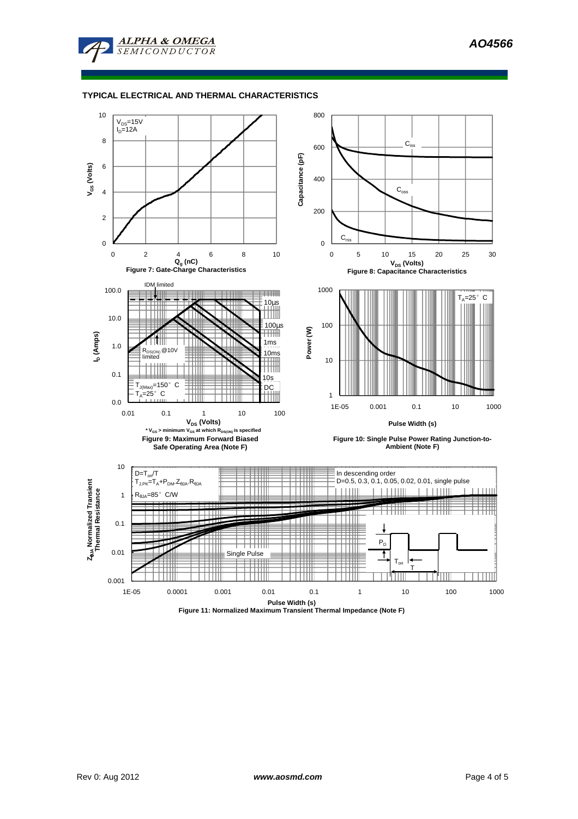**AO4566** 



## **TYPICAL ELECTRICAL AND THERMAL CHARACTERISTICS**



**Figure 11: Normalized Maximum Transient Thermal Impedance (Note F)**